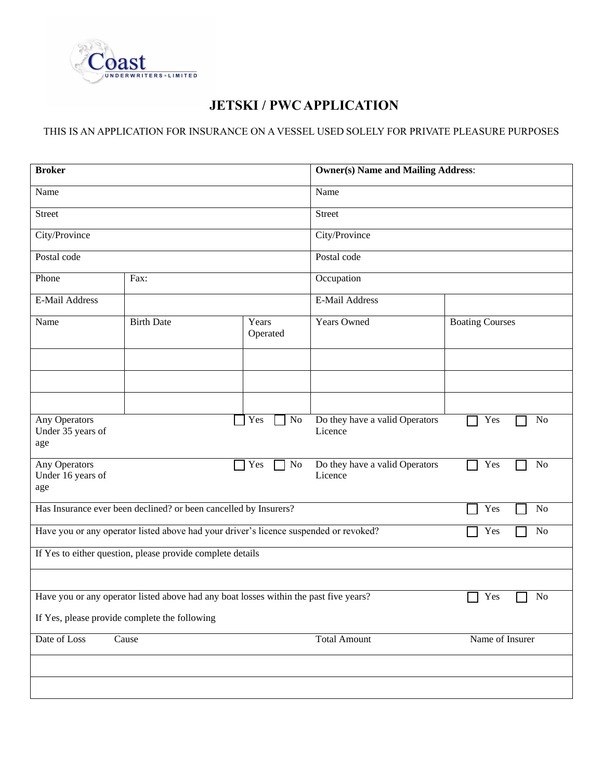

## **JETSKI / PWCAPPLICATION**

THIS IS AN APPLICATION FOR INSURANCE ON A VESSEL USED SOLELY FOR PRIVATE PLEASURE PURPOSES

| <b>Broker</b>                                                                                                  |                   |                   | <b>Owner(s) Name and Mailing Address:</b> |                        |  |  |
|----------------------------------------------------------------------------------------------------------------|-------------------|-------------------|-------------------------------------------|------------------------|--|--|
| Name                                                                                                           |                   |                   | Name                                      |                        |  |  |
| <b>Street</b>                                                                                                  |                   |                   | <b>Street</b>                             |                        |  |  |
| City/Province                                                                                                  |                   |                   | City/Province                             |                        |  |  |
| Postal code                                                                                                    |                   |                   | Postal code                               |                        |  |  |
| Phone                                                                                                          | Fax:              |                   | Occupation                                |                        |  |  |
| E-Mail Address                                                                                                 |                   |                   | E-Mail Address                            |                        |  |  |
| Name                                                                                                           | <b>Birth Date</b> | Years<br>Operated | Years Owned                               | <b>Boating Courses</b> |  |  |
|                                                                                                                |                   |                   |                                           |                        |  |  |
|                                                                                                                |                   |                   |                                           |                        |  |  |
| Any Operators<br>Under 35 years of<br>age                                                                      |                   | Yes<br>$\rm No$   | Do they have a valid Operators<br>Licence | Yes<br>N <sub>o</sub>  |  |  |
| Any Operators<br>Under 16 years of<br>age                                                                      |                   | Yes<br>No         | Do they have a valid Operators<br>Licence | Yes<br>No              |  |  |
| Has Insurance ever been declined? or been cancelled by Insurers?<br>Yes                                        |                   |                   |                                           |                        |  |  |
| Have you or any operator listed above had your driver's licence suspended or revoked?<br>Yes<br>N <sub>o</sub> |                   |                   |                                           |                        |  |  |
| If Yes to either question, please provide complete details                                                     |                   |                   |                                           |                        |  |  |
|                                                                                                                |                   |                   |                                           |                        |  |  |
| Have you or any operator listed above had any boat losses within the past five years?<br>Yes<br>N <sub>o</sub> |                   |                   |                                           |                        |  |  |
| If Yes, please provide complete the following                                                                  |                   |                   |                                           |                        |  |  |
| Date of Loss<br>Cause                                                                                          |                   |                   | Name of Insurer<br><b>Total Amount</b>    |                        |  |  |
|                                                                                                                |                   |                   |                                           |                        |  |  |
|                                                                                                                |                   |                   |                                           |                        |  |  |